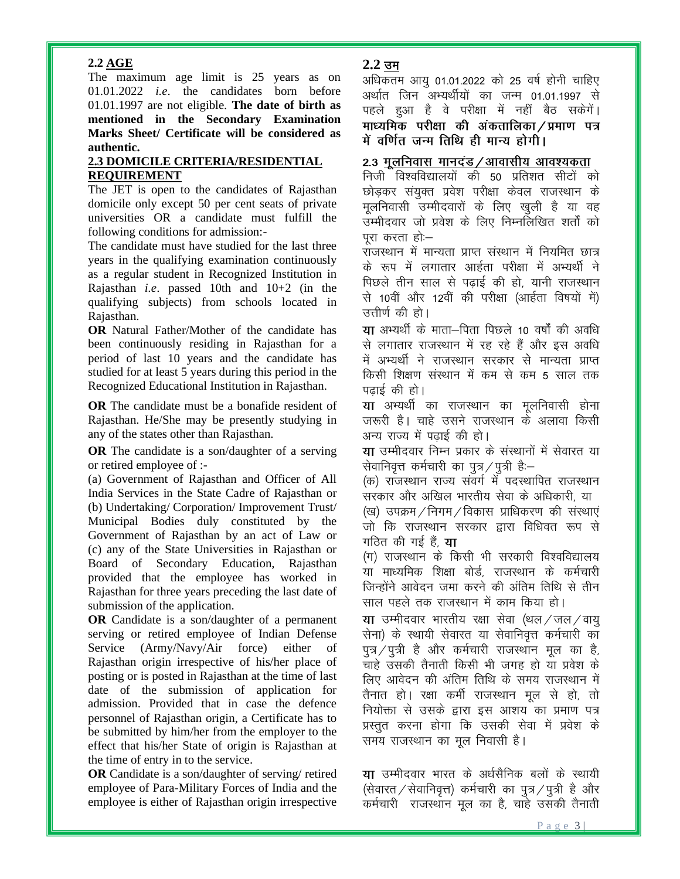## **2.2 AGE**

The maximum age limit is 25 years as on 01.01.2022 *i.e.* the candidates born before 01.01.1997 are not eligible. The date of birth as mentioned in the Secondary Examination Marks Sheet/ Certificate will be considered as authentic.

## **2.3 DOMICILE CRITERIA/RESIDENTIAL REQUIREMENT**

The JET is open to the candidates of Rajasthan domicile only except 50 per cent seats of private universities OR a candidate must fulfill the following conditions for admission:-

The candidate must have studied for the last three years in the qualifying examination continuously as a regular student in Recognized Institution in Rajasthan *i.e.* passed 10th and  $10+2$  (in the qualifying subjects) from schools located in Rajasthan.

OR Natural Father/Mother of the candidate has been continuously residing in Rajasthan for a period of last 10 years and the candidate has studied for at least 5 years during this period in the Recognized Educational Institution in Rajasthan.

OR The candidate must be a bonafide resident of Rajasthan. He/She may be presently studying in any of the states other than Rajasthan.

**OR** The candidate is a son/daughter of a serving or retired employee of :-

(a) Government of Rajasthan and Officer of All India Services in the State Cadre of Rajasthan or (b) Undertaking/ Corporation/ Improvement Trust/ Municipal Bodies duly constituted by the Government of Rajasthan by an act of Law or (c) any of the State Universities in Rajasthan or Board of Secondary Education, Rajasthan provided that the employee has worked in Rajasthan for three years preceding the last date of submission of the application.

**OR** Candidate is a son/daughter of a permanent serving or retired employee of Indian Defense Service (Army/Navy/Air force) either of Rajasthan origin irrespective of his/her place of posting or is posted in Rajasthan at the time of last date of the submission of application for admission. Provided that in case the defence personnel of Rajasthan origin, a Certificate has to be submitted by him/her from the employer to the effect that his/her State of origin is Rajasthan at the time of entry in to the service.

**OR** Candidate is a son/daughter of serving/ retired employee of Para-Military Forces of India and the employee is either of Rajasthan origin irrespective

# $2.2 \text{ } \overline{\text{}}$ न

अधिकतम आयू 01.01.2022 को 25 वर्ष होनी चाहिए अर्थात जिन अभ्यर्थीयों का जन्म 01.01.1997 से पहले हुआ है वे परीक्षा में नहीं बैठ सकेंगें। माध्यमिक परीक्षा की अंकतालिका / प्रमाण पत्र में वर्णित जन्म तिथि ही मान्य होगी।

# 2.3 <u>मूलनिवास मानदंड / आवासीय आवश्यकता</u>

निजी विश्वविद्यालयों की 50 प्रतिशत सीटों को छोड़कर संयुक्त प्रवेश परीक्षा केवल राजस्थान के मूलनिवासी उम्मीदवारों के लिए खुली है या वह ्<br>उम्मीदवार जो प्रवेश के लिए निम्नलिखित शर्तों को परा करता हो:–

राजस्थान में मान्यता प्राप्त संस्थान में नियमित छात्र के रूप में लगातार आर्हता परीक्षा में अभ्यर्थी ने पिछले तीन साल से पढ़ाई की हो, यानी राजस्थान से 10वीं और 12वीं की परीक्षा (आर्हता विषयों में) उत्तीर्ण की हो।

या अभ्यर्थी के माता-पिता पिछले 10 वर्षों की अवधि से लगातार राजस्थान में रह रहे हैं और इस अवधि में अभ्यर्थी ने राजस्थान सरकार से मान्यता प्राप्त किसी शिक्षण संस्थान में कम से कम 5 साल तक पताई की हो।

**या** अभ्यर्थी का राजस्थान का मूलनिवासी होना जरूरी है। चाहे उसने राजस्थान के अलावा किसी अन्य राज्य में पढाई की हो।

या उम्मीदवार निम्न प्रकार के संस्थानों में सेवारत या सेवानिवृत्त कर्मचारी का पुत्र / पुत्री है:-

(क) राजस्थान राज्य संवर्ग में पदस्थापित राजस्थान सरकार और अखिल भारतीय सेवा के अधिकारी. या (ख) उपक्रम / निगम / विकास प्राधिकरण की संस्थाएं जो कि राजस्थान सरकार द्वारा विधिवत रूप से गठित की गई हैं. **या** 

(ग) राजस्थान के किसी भी सरकारी विश्वविद्यालय या माध्यमिक शिक्षा बोर्ड, राजस्थान के कर्मचारी जिन्होंने आवेदन जमा करने की अंतिम तिथि से तीन साल पहले तक राजस्थान में काम किया हो।

या उम्मीदवार भारतीय रक्षा सेवा (थल / जल / वायू सेना) के स्थायी सेवारत या सेवानिवृत्त कर्मचारी का पुत्र / पुत्री है और कर्मचारी राजस्थान मूल का है, चाहे उसकी तैनाती किसी भी जगह हो या प्रवेश के लिए आवेदन की अंतिम तिथि के समय राजस्थान में तैनात हो। रक्षा कर्मी राजस्थान मूल से हो, तो नियोक्ता से उसके द्वारा इस आशय का प्रमाण पत्र प्रस्तुत करना होगा कि उसकी सेवा में प्रवेश के समय राजस्थान का मूल निवासी है।

या उम्मीदवार भारत के अर्धसैनिक बलों के स्थायी (सेवारत / सेवानिवृत्त) कर्मचारी का पुत्र / पुत्री है और कर्मचारी राजस्थान मूल का है, चाहे उसकी तैनाती